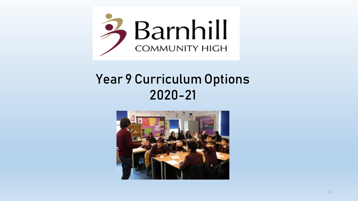

# Year 9 Curriculum Options 2020-21

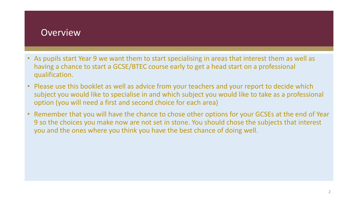## **Overview**

- As pupils start Year 9 we want them to start specialising in areas that interest them as well as having a chance to start a GCSE/BTEC course early to get a head start on a professional qualification.
- Please use this booklet as well as advice from your teachers and your report to decide which subject you would like to specialise in and which subject you would like to take as a professional option (you will need a first and second choice for each area)
- Remember that you will have the chance to chose other options for your GCSEs at the end of Year 9 so the choices you make now are not set in stone. You should chose the subjects that interest you and the ones where you think you have the best chance of doing well.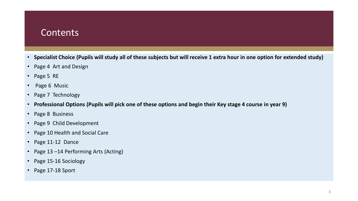## **Contents**

- **Specialist Choice (Pupils will study all of these subjects but will receive 1 extra hour in one option for extended study)**
- Page 4 Art and Design
- Page 5 RE
- Page 6 Music
- Page 7 Technology
- **Professional Options (Pupils will pick one of these options and begin their Key stage 4 course in year 9)**
- Page 8 Business
- Page 9 Child Development
- Page 10 Health and Social Care
- Page 11-12 Dance
- Page 13 –14 Performing Arts (Acting)
- Page 15-16 Sociology
- Page 17-18 Sport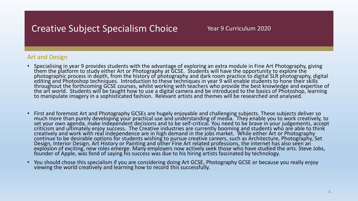## Creative Subject Specialism Choice

## Art and Design

- Specialising in year 9 provides students with the advantage of exploring an extra module in Fine Art Photography, giving them the platform to study either Art or Photography at GCSE. Students will have the opportunity to explore the photographic process in depth, from the history of photography and dark room practice to digital SLR photography, digital editing and Photoshop techniques. Introduction to these techniques in year 9 will enable students to hone their skills throughout the forthcoming GCSE courses, whilst working with teachers who provide the best knowledge and expertise of the art world. Students will be taught how to use a digital camera and be introduced to the basics of Photoshop, learning to manipulate imagery in a sophisticated fashion. Relevant artists and themes will be researched and analysed.
- First and foremost Art and Photography GCSEs are hugely enjoyable and challenging subjects. These subjects deliver so much more than purely developing your practical use and understanding of media. They enable you to work creatively, to set your own agenda, make independent decisions and to be self-critical. You need to be brave in your judgements, accept criticism and ultimately enjoy success. The Creative industries are currently booming and students who are able to think creatively and work with real independence are in high demand in the jobs market. While either Art or Photography continue to be desirable options for students wishing to pursue creative careers, such as Architecture, Photography, Set Design, Interior Design, Art History or Painting and other Fine Art related professions, the internet has also seen an explosion of exciting, new roles emerge. Many employers now actively seek those who have studied the arts. Steve Jobs, founder of Apple, was fond of saying his success was due to his hiring artists fascinated by technology.
- You should chose this specialism if you are considering doing Art GCSE, Photography GCSE or because you really enjoy viewing the world creatively and learning how to record this successfully.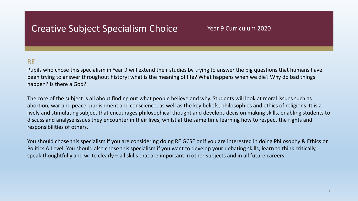## Creative Subject Specialism Choice

## Year 9 Curriculum 2020

## RE

Pupils who chose this specialism in Year 9 will extend their studies by trying to answer the big questions that humans have been trying to answer throughout history: what is the meaning of life? What happens when we die? Why do bad things happen? Is there a God?

The core of the subject is all about finding out what people believe and why. Students will look at moral issues such as abortion, war and peace, punishment and conscience, as well as the key beliefs, philosophies and ethics of religions. It is a lively and stimulating subject that encourages philosophical thought and develops decision making skills, enabling students to discuss and analyse issues they encounter in their lives, whilst at the same time learning how to respect the rights and responsibilities of others.

You should chose this specialism if you are considering doing RE GCSE or if you are interested in doing Philosophy & Ethics or Politics A-Level. You should also chose this specialism if you want to develop your debating skills, learn to think critically, speak thoughtfully and write clearly – all skills that are important in other subjects and in all future careers.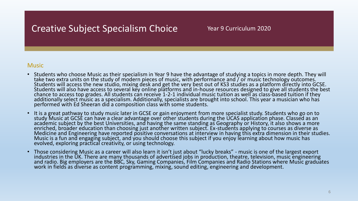## Creative Subject Specialism Choice Year 9 Curriculum 2020

### **Music**

- Students who choose Music as their specialism in Year 9 have the advantage of studying a topics in more depth. They will take two extra units on the study of modern pieces of music, with performance and / or music technology outcomes. Students will access the new studio, mixing desk and get the very best out of KS3 studies as a platform directly into GCSE. Students will also have access to several key online platforms and in-house resources designed to give all students the best chance to access top grades. All students can receive 1-2-1 individual music tuition as well as class-based tuition if they additionally select music as a specialism. Additionally, specialists are brought into school. This year a musician who has performed with Ed Sheeran did a composition class with some students.
- It is a great pathway to study music later in GCSE or gain enjoyment from more specialist study. Students who go on to study Music at GCSE can have a clear advantage over other students during the UCAS application phase. Classed as an academic subject by the best Universities, and having the same standing as Geography or History, it also shows a more enriched, broader education than choosing just another written subject. Ex-students applying to courses as diverse as Medicine and Engineering have reported positive conversations at interview in having this extra dimension in their studies. Music is a fun and engaging subject, and you should choose this subject if you enjoy learning about how music has evolved, exploring practical creativity, or using technology.
- Those considering Music as a career will also learn it isn't just about "lucky breaks" music is one of the largest export industries in the UK. There are many thousands of advertised jobs in production, theatre, television, music engineering and radio. Big employers are the BBC, Sky, Gaming Companies, Film Companies and Radio Stations where Music graduates work in fields as diverse as content programming, mixing, sound editing, engineering and development.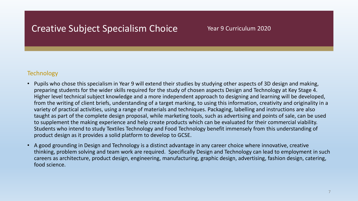## Creative Subject Specialism Choice Year 9 Curriculum 2020

## **Technology**

- Pupils who chose this specialism in Year 9 will extend their studies by studying other aspects of 3D design and making, preparing students for the wider skills required for the study of chosen aspects Design and Technology at Key Stage 4. Higher level technical subject knowledge and a more independent approach to designing and learning will be developed, from the writing of client briefs, understanding of a target marking, to using this information, creativity and originality in a variety of practical activities, using a range of materials and techniques. Packaging, labelling and instructions are also taught as part of the complete design proposal, while marketing tools, such as advertising and points of sale, can be used to supplement the making experience and help create products which can be evaluated for their commercial viability. Students who intend to study Textiles Technology and Food Technology benefit immensely from this understanding of product design as it provides a solid platform to develop to GCSE.
- A good grounding in Design and Technology is a distinct advantage in any career choice where innovative, creative thinking, problem solving and team work are required. Specifically Design and Technology can lead to employment in such careers as architecture, product design, engineering, manufacturing, graphic design, advertising, fashion design, catering, food science.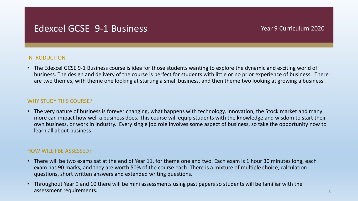## Edexcel GCSE 9-1 Business The Contract Contract Pread Pread Preaches According 2020

### INTRODUCTION

• The Edexcel GCSE 9-1 Business course is idea for those students wanting to explore the dynamic and exciting world of business. The design and delivery of the course is perfect for students with little or no prior experience of business. There are two themes, with theme one looking at starting a small business, and then theme two looking at growing a business.

### WHY STUDY THIS COURSE?

• The very nature of business is forever changing, what happens with technology, innovation, the Stock market and many more can impact how well a business does. This course will equip students with the knowledge and wisdom to start their own business, or work in industry. Every single job role involves some aspect of business, so take the opportunity now to learn all about business!

### HOW WILL I BE ASSESSED?

- There will be two exams sat at the end of Year 11, for theme one and two. Each exam is 1 hour 30 minutes long, each exam has 90 marks, and they are worth 50% of the course each. There is a mixture of multiple choice, calculation questions, short written answers and extended writing questions.
- Throughout Year 9 and 10 there will be mini assessments using past papers so students will be familiar with the assessment requirements.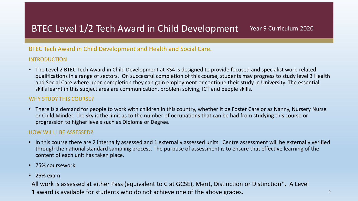## BTEC Level 1/2 Tech Award in Child Development Year 9 Curriculum 2020

## BTEC Tech Award in Child Development and Health and Social Care.

## INTRODUCTION

• The Level 2 BTEC Tech Award in Child Development at KS4 is designed to provide focused and specialist work-related qualifications in a range of sectors. On successful completion of this course, students may progress to study level 3 Health and Social Care where upon completion they can gain employment or continue their study in University. The essential skills learnt in this subject area are communication, problem solving, ICT and people skills.

### WHY STUDY THIS COURSE?

• There is a demand for people to work with children in this country, whether it be Foster Care or as Nanny, Nursery Nurse or Child Minder. The sky is the limit as to the number of occupations that can be had from studying this course or progression to higher levels such as Diploma or Degree.

## HOW WILL I BE ASSESSED?

- In this course there are 2 internally assessed and 1 externally assessed units. Centre assessment will be externally verified through the national standard sampling process. The purpose of assessment is to ensure that effective learning of the content of each unit has taken place.
- 75% coursework
- 25% exam

All work is assessed at either Pass (equivalent to C at GCSE), Merit, Distinction or Distinction\*. A Level 1 award is available for students who do not achieve one of the above grades.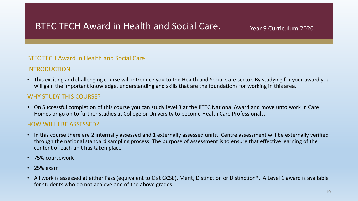## BTEC TECH Award in Health and Social Care. The Mearl 9 Curriculum 2020

## BTEC TECH Award in Health and Social Care.

## INTRODUCTION

• This exciting and challenging course will introduce you to the Health and Social Care sector. By studying for your award you will gain the important knowledge, understanding and skills that are the foundations for working in this area.

## WHY STUDY THIS COURSE?

• On Successful completion of this course you can study level 3 at the BTEC National Award and move unto work in Care Homes or go on to further studies at College or University to become Health Care Professionals.

## HOW WILL I BE ASSESSED?

- In this course there are 2 internally assessed and 1 externally assessed units. Centre assessment will be externally verified through the national standard sampling process. The purpose of assessment is to ensure that effective learning of the content of each unit has taken place.
- 75% coursework
- 25% exam
- All work is assessed at either Pass (equivalent to C at GCSE), Merit, Distinction or Distinction\*. A Level 1 award is available for students who do not achieve one of the above grades.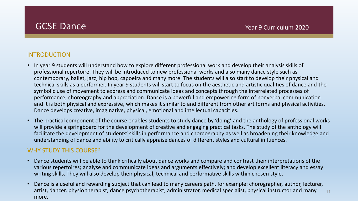## INTRODUCTION

- In year 9 students will understand how to explore different professional work and develop their analysis skills of professional repertoire. They will be introduced to new professional works and also many dance style such as contemporary, ballet, jazz, hip hop, capoeira and many more. The students will also start to develop their physical and technical skills as a performer. In year 9 students will start to focus on the aesthetic and artistic qualities of dance and the symbolic use of movement to express and communicate ideas and concepts through the interrelated processes of performance, choreography and appreciation. Dance is a powerful and empowering form of nonverbal communication and it is both physical and expressive, which makes it similar to and different from other art forms and physical activities. Dance develops creative, imaginative, physical, emotional and intellectual capacities.
- The practical component of the course enables students to study dance by 'doing' and the anthology of professional works will provide a springboard for the development of creative and engaging practical tasks. The study of the anthology will facilitate the development of students' skills in performance and choreography as well as broadening their knowledge and understanding of dance and ability to critically appraise dances of different styles and cultural influences.

## WHY STUDY THIS COURSE?

- Dance students will be able to think critically about dance works and compare and contrast their interpretations of the various repertoires; analyse and communicate ideas and arguments effectively; and develop excellent literacy and essay writing skills. They will also develop their physical, technical and performative skills within chosen style.
- Dance is a useful and rewarding subject that can lead to many careers path, for example: chorographer, author, lecturer, artist, dancer, physio therapist, dance psychotherapist, administrator, medical specialist, physical instructor and many more. 11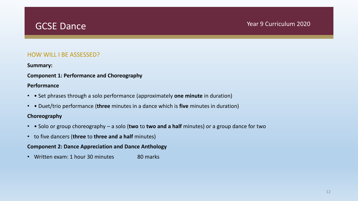## GCSE Dance The Contract of the Contract of the Vear 9 Curriculum 2020

## HOW WILL I BE ASSESSED?

### **Summary:**

## **Component 1: Performance and Choreography**

### **Performance**

- • Set phrases through a solo performance (approximately **one minute** in duration)
- • Duet/trio performance (**three** minutes in a dance which is **five** minutes in duration)

## **Choreography**

- • Solo or group choreography a solo (**two** to **two and a half** minutes) or a group dance for two
- to five dancers (**three** to **three and a half** minutes)

## **Component 2: Dance Appreciation and Dance Anthology**

• Written exam: 1 hour 30 minutes 80 marks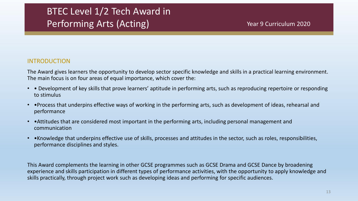# BTEC Level 1/2 Tech Award in Performing Arts (Acting) The Contract of the Vear 9 Curriculum 2020

## INTRODUCTION

The Award gives learners the opportunity to develop sector specific knowledge and skills in a practical learning environment. The main focus is on four areas of equal importance, which cover the:

- • Development of key skills that prove learners' aptitude in performing arts, such as reproducing repertoire or responding to stimulus
- •Process that underpins effective ways of working in the performing arts, such as development of ideas, rehearsal and performance
- •Attitudes that are considered most important in the performing arts, including personal management and communication
- •Knowledge that underpins effective use of skills, processes and attitudes in the sector, such as roles, responsibilities, performance disciplines and styles.

This Award complements the learning in other GCSE programmes such as GCSE Drama and GCSE Dance by broadening experience and skills participation in different types of performance activities, with the opportunity to apply knowledge and skills practically, through project work such as developing ideas and performing for specific audiences.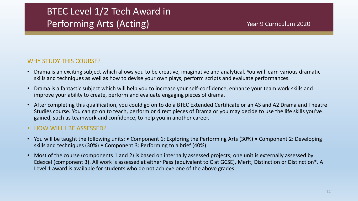# BTEC Level 1/2 Tech Award in Performing Arts (Acting) The Contract of the Vear 9 Curriculum 2020

## WHY STUDY THIS COURSE?

- Drama is an exciting subject which allows you to be creative, imaginative and analytical. You will learn various dramatic skills and techniques as well as how to devise your own plays, perform scripts and evaluate performances.
- Drama is a fantastic subject which will help you to increase your self-confidence, enhance your team work skills and improve your ability to create, perform and evaluate engaging pieces of drama.
- After completing this qualification, you could go on to do a BTEC Extended Certificate or an AS and A2 Drama and Theatre Studies course. You can go on to teach, perform or direct pieces of Drama or you may decide to use the life skills you've gained, such as teamwork and confidence, to help you in another career.

## • HOW WILL I BE ASSESSED?

- You will be taught the following units: Component 1: Exploring the Performing Arts (30%) Component 2: Developing skills and techniques (30%) • Component 3: Performing to a brief (40%)
- Most of the course (components 1 and 2) is based on internally assessed projects; one unit is externally assessed by Edexcel (component 3). All work is assessed at either Pass (equivalent to C at GCSE), Merit, Distinction or Distinction\*. A Level 1 award is available for students who do not achieve one of the above grades.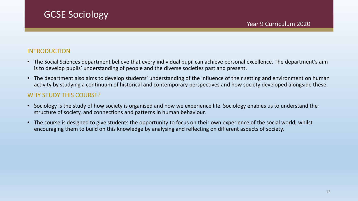## INTRODUCTION

- The Social Sciences department believe that every individual pupil can achieve personal excellence. The department's aim is to develop pupils' understanding of people and the diverse societies past and present.
- The department also aims to develop students' understanding of the influence of their setting and environment on human activity by studying a continuum of historical and contemporary perspectives and how society developed alongside these.

## WHY STUDY THIS COURSE?

GCSE Sociology

- Sociology is the study of how society is organised and how we experience life. Sociology enables us to understand the structure of society, and connections and patterns in human behaviour.
- The course is designed to give students the opportunity to focus on their own experience of the social world, whilst encouraging them to build on this knowledge by analysing and reflecting on different aspects of society.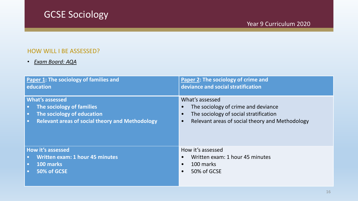# GCSE Sociology

## HOW WILL I BE ASSESSED?

## • *Exam Board: AQA*

| Paper 1: The sociology of families and                 | Paper 2: The sociology of crime and             |
|--------------------------------------------------------|-------------------------------------------------|
| education                                              | deviance and social stratification              |
| <b>What's assessed</b>                                 | What's assessed                                 |
| The sociology of families                              | The sociology of crime and deviance             |
| $\bullet$                                              | $\bullet$                                       |
| The sociology of education                             | The sociology of social stratification          |
| $\bullet$                                              | $\bullet$                                       |
| <b>Relevant areas of social theory and Methodology</b> | Relevant areas of social theory and Methodology |
| $\bullet$                                              | $\bullet$                                       |
| <b>How it's assessed</b>                               | How it's assessed                               |
| <b>Written exam: 1 hour 45 minutes</b>                 | Written exam: 1 hour 45 minutes                 |
| $\bullet$                                              | $\bullet$                                       |
| 100 marks                                              | 100 marks                                       |
| $\bullet$                                              | $\bullet$                                       |
| 50% of GCSE                                            | 50% of GCSE                                     |
| $\bullet$                                              | $\bullet$                                       |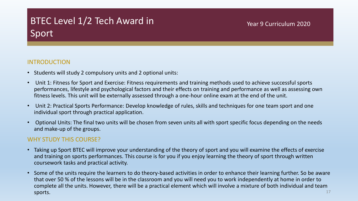# BTEC Level 1/2 Tech Award in Sport

## Year 9 Curriculum 2020

## INTRODUCTION

- Students will study 2 compulsory units and 2 optional units:
- Unit 1: Fitness for Sport and Exercise: Fitness requirements and training methods used to achieve successful sports performances, lifestyle and psychological factors and their effects on training and performance as well as assessing own fitness levels. This unit will be externally assessed through a one-hour online exam at the end of the unit.
- Unit 2: Practical Sports Performance: Develop knowledge of rules, skills and techniques for one team sport and one individual sport through practical application.
- Optional Units: The final two units will be chosen from seven units all with sport specific focus depending on the needs and make-up of the groups.

## WHY STUDY THIS COURSE?

- Taking up Sport BTEC will improve your understanding of the theory of sport and you will examine the effects of exercise and training on sports performances. This course is for you if you enjoy learning the theory of sport through written coursework tasks and practical activity.
- Some of the units require the learners to do theory-based activities in order to enhance their learning further. So be aware that over 50 % of the lessons will be in the classroom and you will need you to work independently at home in order to complete all the units. However, there will be a practical element which will involve a mixture of both individual and team  ${\sf sports.} \hspace{25pt} 17$